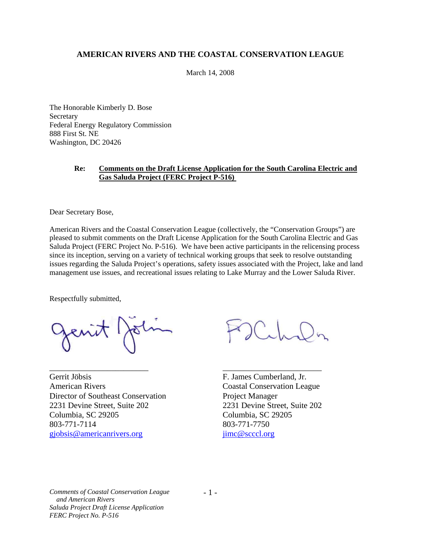### **AMERICAN RIVERS AND THE COASTAL CONSERVATION LEAGUE**

March 14, 2008

The Honorable Kimberly D. Bose Secretary Federal Energy Regulatory Commission 888 First St. NE Washington, DC 20426

#### **Re: Comments on the Draft License Application for the South Carolina Electric and Gas Saluda Project (FERC Project P-516)**

Dear Secretary Bose,

American Rivers and the Coastal Conservation League (collectively, the "Conservation Groups") are pleased to submit comments on the Draft License Application for the South Carolina Electric and Gas Saluda Project (FERC Project No. P-516). We have been active participants in the relicensing process since its inception, serving on a variety of technical working groups that seek to resolve outstanding issues regarding the Saluda Project's operations, safety issues associated with the Project, lake and land management use issues, and recreational issues relating to Lake Murray and the Lower Saluda River.

Respectfully submitted,

\_\_\_\_\_\_\_\_\_\_\_\_\_\_\_\_\_\_\_\_\_\_\_\_ \_\_\_\_\_\_\_\_\_\_\_\_\_\_\_\_\_\_\_\_\_\_\_\_ Gerrit Jöbsis F. James Cumberland, Jr. American Rivers Coastal Conservation League Director of Southeast Conservation Project Manager 2231 Devine Street, Suite 202 2231 Devine Street, Suite 202 Columbia, SC 29205 Columbia, SC 29205 803-771-7114 803-771-7750 [gjobsis@americanrivers.org](mailto:gjobsis@americanrivers.org) [jimc@scccl.org](mailto:jimc@scccl.org)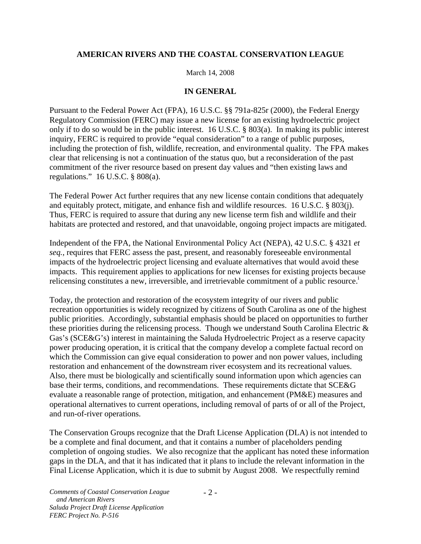### **AMERICAN RIVERS AND THE COASTAL CONSERVATION LEAGUE**

March 14, 2008

#### **IN GENERAL**

Pursuant to the Federal Power Act (FPA), 16 U.S.C. §§ 791a-825r (2000), the Federal Energy Regulatory Commission (FERC) may issue a new license for an existing hydroelectric project only if to do so would be in the public interest. 16 U.S.C. § 803(a). In making its public interest inquiry, FERC is required to provide "equal consideration" to a range of public purposes, including the protection of fish, wildlife, recreation, and environmental quality. The FPA makes clear that relicensing is not a continuation of the status quo, but a reconsideration of the past commitment of the river resource based on present day values and "then existing laws and regulations." 16 U.S.C. § 808(a).

The Federal Power Act further requires that any new license contain conditions that adequately and equitably protect, mitigate, and enhance fish and wildlife resources. 16 U.S.C. § 803(j). Thus, FERC is required to assure that during any new license term fish and wildlife and their habitats are protected and restored, and that unavoidable, ongoing project impacts are mitigated.

Independent of the FPA, the National Environmental Policy Act (NEPA), 42 U.S.C. § 4321 *et seq.*, requires that FERC assess the past, present, and reasonably foreseeable environmental impacts of the hydroelectric project licensing and evaluate alternatives that would avoid these impacts. This requirement applies to applications for new licenses for existing projects because rel[i](#page-22-0)censing constitutes a new, irreversible, and irretrievable commitment of a public resource.<sup>1</sup>

Today, the protection and restoration of the ecosystem integrity of our rivers and public recreation opportunities is widely recognized by citizens of South Carolina as one of the highest public priorities. Accordingly, substantial emphasis should be placed on opportunities to further these priorities during the relicensing process. Though we understand South Carolina Electric & Gas's (SCE&G's) interest in maintaining the Saluda Hydroelectric Project as a reserve capacity power producing operation, it is critical that the company develop a complete factual record on which the Commission can give equal consideration to power and non power values, including restoration and enhancement of the downstream river ecosystem and its recreational values. Also, there must be biologically and scientifically sound information upon which agencies can base their terms, conditions, and recommendations. These requirements dictate that SCE&G evaluate a reasonable range of protection, mitigation, and enhancement (PM&E) measures and operational alternatives to current operations, including removal of parts of or all of the Project, and run-of-river operations.

The Conservation Groups recognize that the Draft License Application (DLA) is not intended to be a complete and final document, and that it contains a number of placeholders pending completion of ongoing studies. We also recognize that the applicant has noted these information gaps in the DLA, and that it has indicated that it plans to include the relevant information in the Final License Application, which it is due to submit by August 2008. We respectfully remind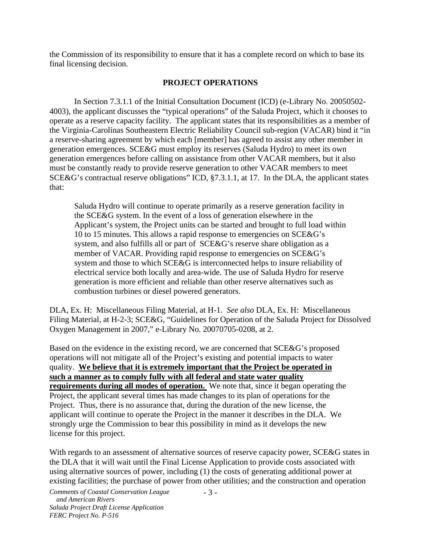the Commission of its responsibility to ensure that it has a complete record on which to base its final licensing decision.

### **PROJECT OPERATIONS**

In Section 7.3.1.1 of the Initial Consultation Document (ICD) (e-Library No. 20050502- 4003), the applicant discusses the "typical operations" of the Saluda Project, which it chooses to operate as a reserve capacity facility. The applicant states that its responsibilities as a member of the Virginia-Carolinas Southeastern Electric Reliability Council sub-region (VACAR) bind it "in a reserve-sharing agreement by which each [member] has agreed to assist any other member in generation emergences. SCE&G must employ its reserves (Saluda Hydro) to meet its own generation emergences before calling on assistance from other VACAR members, but it also must be constantly ready to provide reserve generation to other VACAR members to meet SCE&G's contractual reserve obligations" ICD, §7.3.1.1, at 17. In the DLA, the applicant states that:

Saluda Hydro will continue to operate primarily as a reserve generation facility in the SCE&G system. In the event of a loss of generation elsewhere in the Applicant's system, the Project units can be started and brought to full load within 10 to 15 minutes. This allows a rapid response to emergencies on SCE&G's system, and also fulfills all or part of SCE&G's reserve share obligation as a member of VACAR. Providing rapid response to emergencies on SCE&G's system and those to which SCE&G is interconnected helps to insure reliability of electrical service both locally and area-wide. The use of Saluda Hydro for reserve generation is more efficient and reliable than other reserve alternatives such as combustion turbines or diesel powered generators.

DLA, Ex. H: Miscellaneous Filing Material, at H-1. *See also* DLA, Ex. H: Miscellaneous Filing Material, at H-2-3; SCE&G, "Guidelines for Operation of the Saluda Project for Dissolved Oxygen Management in 2007," e-Library No. 20070705-0208, at 2.

Based on the evidence in the existing record, we are concerned that SCE&G's proposed operations will not mitigate all of the Project's existing and potential impacts to water quality. **We believe that it is extremely important that the Project be operated in such a manner as to comply fully with all federal and state water quality requirements during all modes of operation.** We note that, since it began operating the Project, the applicant several times has made changes to its plan of operations for the Project. Thus, there is no assurance that, during the duration of the new license, the applicant will continue to operate the Project in the manner it describes in the DLA. We strongly urge the Commission to bear this possibility in mind as it develops the new license for this project.

With regards to an assessment of alternative sources of reserve capacity power, SCE&G states in the DLA that it will wait until the Final License Application to provide costs associated with using alternative sources of power, including (1) the costs of generating additional power at existing facilities; the purchase of power from other utilities; and the construction and operation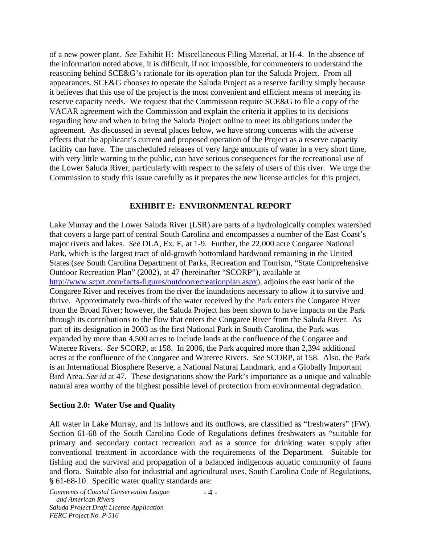of a new power plant. *See* Exhibit H: Miscellaneous Filing Material, at H-4. In the absence of the information noted above, it is difficult, if not impossible, for commenters to understand the reasoning behind SCE&G's rationale for its operation plan for the Saluda Project. From all appearances, SCE&G chooses to operate the Saluda Project as a reserve facility simply because it believes that this use of the project is the most convenient and efficient means of meeting its reserve capacity needs. We request that the Commission require SCE&G to file a copy of the VACAR agreement with the Commission and explain the criteria it applies to its decisions regarding how and when to bring the Saluda Project online to meet its obligations under the agreement. As discussed in several places below, we have strong concerns with the adverse effects that the applicant's current and proposed operation of the Project as a reserve capacity facility can have. The unscheduled releases of very large amounts of water in a very short time, with very little warning to the public, can have serious consequences for the recreational use of the Lower Saluda River, particularly with respect to the safety of users of this river. We urge the Commission to study this issue carefully as it prepares the new license articles for this project.

#### **EXHIBIT E: ENVIRONMENTAL REPORT**

Lake Murray and the Lower Saluda River (LSR) are parts of a hydrologically complex watershed that covers a large part of central South Carolina and encompasses a number of the East Coast's major rivers and lakes. *See* DLA, Ex. E, at 1-9. Further, the 22,000 acre Congaree National Park, which is the largest tract of old-growth bottomland hardwood remaining in the United States (*see* South Carolina Department of Parks, Recreation and Tourism, "State Comprehensive Outdoor Recreation Plan" (2002), at 47 (hereinafter "SCORP"), available at <http://www.scprt.com/facts-figures/outdoorrecreationplan.aspx>), adjoins the east bank of the Congaree River and receives from the river the inundations necessary to allow it to survive and thrive. Approximately two-thirds of the water received by the Park enters the Congaree River from the Broad River; however, the Saluda Project has been shown to have impacts on the Park through its contributions to the flow that enters the Congaree River from the Saluda River. As part of its designation in 2003 as the first National Park in South Carolina, the Park was expanded by more than 4,500 acres to include lands at the confluence of the Congaree and Wateree Rivers. *See* SCORP, at 158. In 2006, the Park acquired more than 2,394 additional acres at the confluence of the Congaree and Wateree Rivers. *See* SCORP, at 158. Also, the Park is an International Biosphere Reserve, a National Natural Landmark, and a Globally Important Bird Area. *See id* at 47. These designations show the Park's importance as a unique and valuable natural area worthy of the highest possible level of protection from environmental degradation.

#### **Section 2.0: Water Use and Quality**

All water in Lake Murray, and its inflows and its outflows, are classified as "freshwaters" (FW). Section 61-68 of the South Carolina Code of Regulations defines freshwaters as "suitable for primary and secondary contact recreation and as a source for drinking water supply after conventional treatment in accordance with the requirements of the Department. Suitable for fishing and the survival and propagation of a balanced indigenous aquatic community of fauna and flora. Suitable also for industrial and agricultural uses. South Carolina Code of Regulations, § 61-68-10. Specific water quality standards are: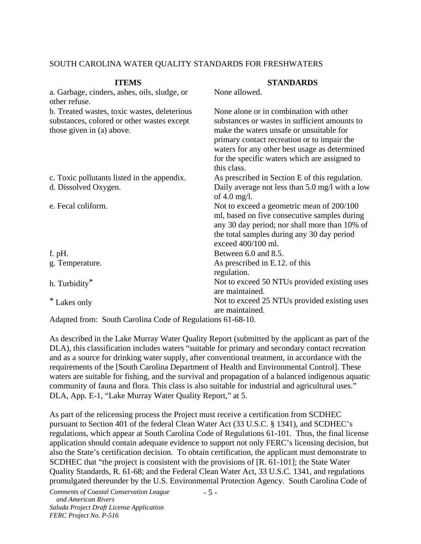#### SOUTH CAROLINA WATER QUALITY STANDARDS FOR FRESHWATERS

| <b>ITEMS</b>                                                                                                                                                             | <b>STANDARDS</b>                                                                                                                                                                                                                                                                                     |
|--------------------------------------------------------------------------------------------------------------------------------------------------------------------------|------------------------------------------------------------------------------------------------------------------------------------------------------------------------------------------------------------------------------------------------------------------------------------------------------|
| a. Garbage, cinders, ashes, oils, sludge, or<br>other refuse.                                                                                                            | None allowed.                                                                                                                                                                                                                                                                                        |
| b. Treated wastes, toxic wastes, deleterious<br>substances, colored or other wastes except<br>those given in (a) above.                                                  | None alone or in combination with other<br>substances or wastes in sufficient amounts to<br>make the waters unsafe or unsuitable for<br>primary contact recreation or to impair the<br>waters for any other best usage as determined<br>for the specific waters which are assigned to<br>this class. |
| c. Toxic pollutants listed in the appendix.                                                                                                                              | As prescribed in Section E of this regulation.                                                                                                                                                                                                                                                       |
| d. Dissolved Oxygen.                                                                                                                                                     | Daily average not less than 5.0 mg/l with a low<br>of 4.0 mg/l.                                                                                                                                                                                                                                      |
| e. Fecal coliform.                                                                                                                                                       | Not to exceed a geometric mean of 200/100<br>ml, based on five consecutive samples during<br>any 30 day period; nor shall more than 10% of<br>the total samples during any 30 day period<br>exceed 400/100 ml.                                                                                       |
| f. pH.                                                                                                                                                                   | Between 6.0 and 8.5.                                                                                                                                                                                                                                                                                 |
| g. Temperature.                                                                                                                                                          | As prescribed in E.12. of this<br>regulation.                                                                                                                                                                                                                                                        |
| h. Turbidity*                                                                                                                                                            | Not to exceed 50 NTUs provided existing uses<br>are maintained.                                                                                                                                                                                                                                      |
| * Lakes only                                                                                                                                                             | Not to exceed 25 NTUs provided existing uses<br>are maintained.                                                                                                                                                                                                                                      |
| $\mathbf{1}$ $\mathbf{1}$ $\mathbf{1}$ $\mathbf{0}$ $\mathbf{1}$ $\mathbf{0}$ $\mathbf{1}$ $\mathbf{1}$ $\mathbf{1}$ $\mathbf{1}$ $\mathbf{1}$ $\mathbf{1}$ $\mathbf{0}$ |                                                                                                                                                                                                                                                                                                      |

Adapted from: South Carolina Code of Regulations 61-68-10.

As described in the Lake Murray Water Quality Report (submitted by the applicant as part of the DLA), this classification includes waters "suitable for primary and secondary contact recreation and as a source for drinking water supply, after conventional treatment, in accordance with the requirements of the [South Carolina Department of Health and Environmental Control]. These waters are suitable for fishing, and the survival and propagation of a balanced indigenous aquatic community of fauna and flora. This class is also suitable for industrial and agricultural uses." DLA, App. E-1, "Lake Murray Water Quality Report," at 5.

As part of the relicensing process the Project must receive a certification from SCDHEC pursuant to Section 401 of the federal Clean Water Act (33 U.S.C. § 1341), and SCDHEC's regulations, which appear at South Carolina Code of Regulations 61-101. Thus, the final license application should contain adequate evidence to support not only FERC's licensing decision, but also the State's certification decision. To obtain certification, the applicant must demonstrate to SCDHEC that "the project is consistent with the provisions of [R. 61-101]; the State Water Quality Standards, R. 61-68; and the Federal Clean Water Act, 33 U.S.C. 1341, and regulations promulgated thereunder by the U.S. Environmental Protection Agency. South Carolina Code of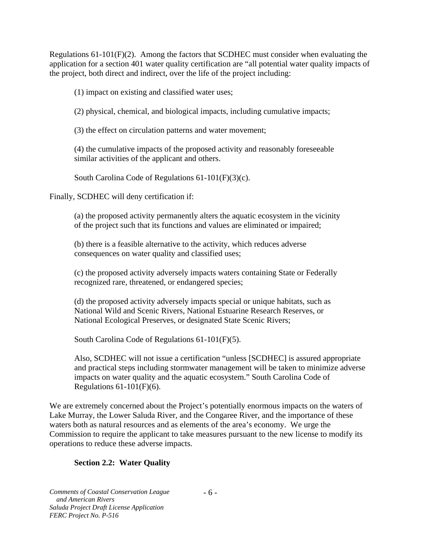Regulations  $61-101(F)(2)$ . Among the factors that SCDHEC must consider when evaluating the application for a section 401 water quality certification are "all potential water quality impacts of the project, both direct and indirect, over the life of the project including:

(1) impact on existing and classified water uses;

(2) physical, chemical, and biological impacts, including cumulative impacts;

(3) the effect on circulation patterns and water movement;

(4) the cumulative impacts of the proposed activity and reasonably foreseeable similar activities of the applicant and others.

South Carolina Code of Regulations 61-101(F)(3)(c).

Finally, SCDHEC will deny certification if:

(a) the proposed activity permanently alters the aquatic ecosystem in the vicinity of the project such that its functions and values are eliminated or impaired;

(b) there is a feasible alternative to the activity, which reduces adverse consequences on water quality and classified uses;

(c) the proposed activity adversely impacts waters containing State or Federally recognized rare, threatened, or endangered species;

(d) the proposed activity adversely impacts special or unique habitats, such as National Wild and Scenic Rivers, National Estuarine Research Reserves, or National Ecological Preserves, or designated State Scenic Rivers;

South Carolina Code of Regulations 61-101(F)(5).

Also, SCDHEC will not issue a certification "unless [SCDHEC] is assured appropriate and practical steps including stormwater management will be taken to minimize adverse impacts on water quality and the aquatic ecosystem." South Carolina Code of Regulations  $61-101(F)(6)$ .

We are extremely concerned about the Project's potentially enormous impacts on the waters of Lake Murray, the Lower Saluda River, and the Congaree River, and the importance of these waters both as natural resources and as elements of the area's economy. We urge the Commission to require the applicant to take measures pursuant to the new license to modify its operations to reduce these adverse impacts.

# **Section 2.2: Water Quality**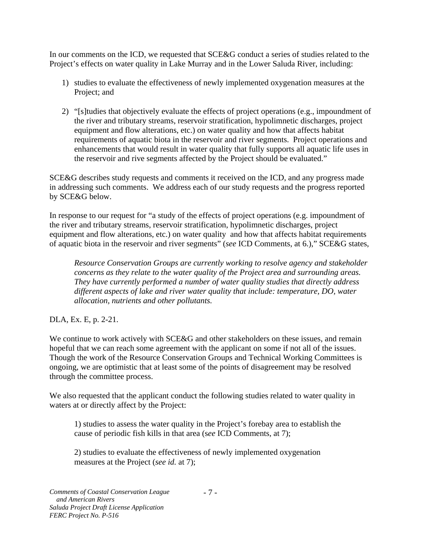In our comments on the ICD, we requested that SCE&G conduct a series of studies related to the Project's effects on water quality in Lake Murray and in the Lower Saluda River, including:

- 1) studies to evaluate the effectiveness of newly implemented oxygenation measures at the Project; and
- 2) "[s]tudies that objectively evaluate the effects of project operations (e.g., impoundment of the river and tributary streams, reservoir stratification, hypolimnetic discharges, project equipment and flow alterations, etc.) on water quality and how that affects habitat requirements of aquatic biota in the reservoir and river segments. Project operations and enhancements that would result in water quality that fully supports all aquatic life uses in the reservoir and rive segments affected by the Project should be evaluated."

SCE&G describes study requests and comments it received on the ICD, and any progress made in addressing such comments. We address each of our study requests and the progress reported by SCE&G below.

In response to our request for "a study of the effects of project operations (e.g. impoundment of the river and tributary streams, reservoir stratification, hypolimnetic discharges, project equipment and flow alterations, etc.) on water quality and how that affects habitat requirements of aquatic biota in the reservoir and river segments" (*see* ICD Comments, at 6.)," SCE&G states,

*Resource Conservation Groups are currently working to resolve agency and stakeholder concerns as they relate to the water quality of the Project area and surrounding areas. They have currently performed a number of water quality studies that directly address different aspects of lake and river water quality that include: temperature, DO, water allocation, nutrients and other pollutants.* 

DLA, Ex. E, p. 2-21.

We continue to work actively with SCE&G and other stakeholders on these issues, and remain hopeful that we can reach some agreement with the applicant on some if not all of the issues. Though the work of the Resource Conservation Groups and Technical Working Committees is ongoing, we are optimistic that at least some of the points of disagreement may be resolved through the committee process.

We also requested that the applicant conduct the following studies related to water quality in waters at or directly affect by the Project:

1) studies to assess the water quality in the Project's forebay area to establish the cause of periodic fish kills in that area (s*ee* ICD Comments, at 7);

2) studies to evaluate the effectiveness of newly implemented oxygenation measures at the Project (*see id.* at 7);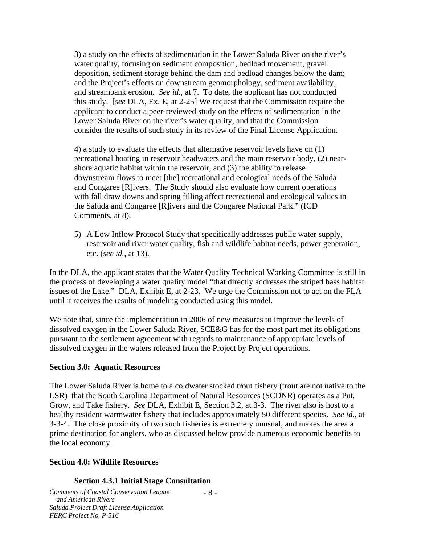3) a study on the effects of sedimentation in the Lower Saluda River on the river's water quality, focusing on sediment composition, bedload movement, gravel deposition, sediment storage behind the dam and bedload changes below the dam; and the Project's effects on downstream geomorphology, sediment availability, and streambank erosion. *See id.*, at 7. To date, the applicant has not conducted this study. [*see* DLA, Ex. E, at 2-25] We request that the Commission require the applicant to conduct a peer-reviewed study on the effects of sedimentation in the Lower Saluda River on the river's water quality, and that the Commission consider the results of such study in its review of the Final License Application.

4) a study to evaluate the effects that alternative reservoir levels have on (1) recreational boating in reservoir headwaters and the main reservoir body, (2) nearshore aquatic habitat within the reservoir, and (3) the ability to release downstream flows to meet [the] recreational and ecological needs of the Saluda and Congaree [R]ivers. The Study should also evaluate how current operations with fall draw downs and spring filling affect recreational and ecological values in the Saluda and Congaree [R]ivers and the Congaree National Park." (ICD Comments, at 8).

5) A Low Inflow Protocol Study that specifically addresses public water supply, reservoir and river water quality, fish and wildlife habitat needs, power generation, etc. (*see id.*, at 13).

In the DLA, the applicant states that the Water Quality Technical Working Committee is still in the process of developing a water quality model "that directly addresses the striped bass habitat issues of the Lake." DLA, Exhibit E, at 2-23. We urge the Commission not to act on the FLA until it receives the results of modeling conducted using this model.

We note that, since the implementation in 2006 of new measures to improve the levels of dissolved oxygen in the Lower Saluda River, SCE&G has for the most part met its obligations pursuant to the settlement agreement with regards to maintenance of appropriate levels of dissolved oxygen in the waters released from the Project by Project operations.

#### **Section 3.0: Aquatic Resources**

The Lower Saluda River is home to a coldwater stocked trout fishery (trout are not native to the LSR) that the South Carolina Department of Natural Resources (SCDNR) operates as a Put, Grow, and Take fishery. *See* DLA, Exhibit E, Section 3.2, at 3-3. The river also is host to a healthy resident warmwater fishery that includes approximately 50 different species. *See id*., at 3-3-4. The close proximity of two such fisheries is extremely unusual, and makes the area a prime destination for anglers, who as discussed below provide numerous economic benefits to the local economy.

#### **Section 4.0: Wildlife Resources**

#### **Section 4.3.1 Initial Stage Consultation**

*Comments of Coastal Conservation League and American Rivers Saluda Project Draft License Application FERC Project No. P-516*  - 8 -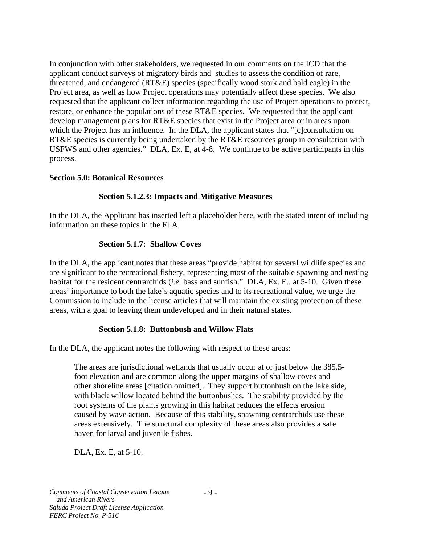In conjunction with other stakeholders, we requested in our comments on the ICD that the applicant conduct surveys of migratory birds and studies to assess the condition of rare, threatened, and endangered (RT&E) species (specifically wood stork and bald eagle) in the Project area, as well as how Project operations may potentially affect these species. We also requested that the applicant collect information regarding the use of Project operations to protect, restore, or enhance the populations of these RT&E species. We requested that the applicant develop management plans for RT&E species that exist in the Project area or in areas upon which the Project has an influence. In the DLA, the applicant states that "[c]consultation on RT&E species is currently being undertaken by the RT&E resources group in consultation with USFWS and other agencies." DLA, Ex. E, at 4-8. We continue to be active participants in this process.

### **Section 5.0: Botanical Resources**

## **Section 5.1.2.3: Impacts and Mitigative Measures**

In the DLA, the Applicant has inserted left a placeholder here, with the stated intent of including information on these topics in the FLA.

## **Section 5.1.7: Shallow Coves**

In the DLA, the applicant notes that these areas "provide habitat for several wildlife species and are significant to the recreational fishery, representing most of the suitable spawning and nesting habitat for the resident centrarchids (*i.e.* bass and sunfish." DLA, Ex. E., at 5-10. Given these areas' importance to both the lake's aquatic species and to its recreational value, we urge the Commission to include in the license articles that will maintain the existing protection of these areas, with a goal to leaving them undeveloped and in their natural states.

# **Section 5.1.8: Buttonbush and Willow Flats**

In the DLA, the applicant notes the following with respect to these areas:

The areas are jurisdictional wetlands that usually occur at or just below the 385.5 foot elevation and are common along the upper margins of shallow coves and other shoreline areas [citation omitted]. They support buttonbush on the lake side, with black willow located behind the buttonbushes. The stability provided by the root systems of the plants growing in this habitat reduces the effects erosion caused by wave action. Because of this stability, spawning centrarchids use these areas extensively. The structural complexity of these areas also provides a safe haven for larval and juvenile fishes.

DLA, Ex. E, at 5-10.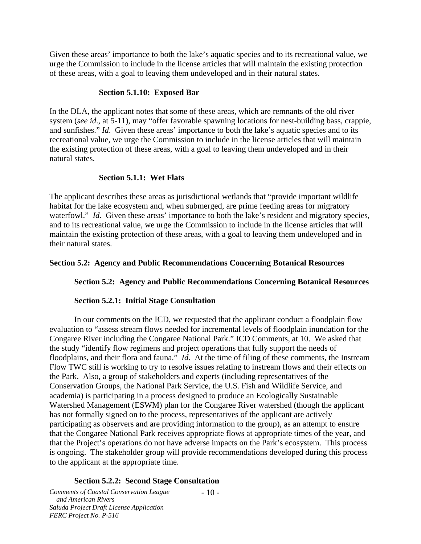Given these areas' importance to both the lake's aquatic species and to its recreational value, we urge the Commission to include in the license articles that will maintain the existing protection of these areas, with a goal to leaving them undeveloped and in their natural states.

#### **Section 5.1.10: Exposed Bar**

In the DLA, the applicant notes that some of these areas, which are remnants of the old river system (*see id*., at 5-11), may "offer favorable spawning locations for nest-building bass, crappie, and sunfishes." *Id*. Given these areas' importance to both the lake's aquatic species and to its recreational value, we urge the Commission to include in the license articles that will maintain the existing protection of these areas, with a goal to leaving them undeveloped and in their natural states.

#### **Section 5.1.1: Wet Flats**

The applicant describes these areas as jurisdictional wetlands that "provide important wildlife habitat for the lake ecosystem and, when submerged, are prime feeding areas for migratory waterfowl." *Id.* Given these areas' importance to both the lake's resident and migratory species, and to its recreational value, we urge the Commission to include in the license articles that will maintain the existing protection of these areas, with a goal to leaving them undeveloped and in their natural states.

#### **Section 5.2: Agency and Public Recommendations Concerning Botanical Resources**

#### **Section 5.2: Agency and Public Recommendations Concerning Botanical Resources**

#### **Section 5.2.1: Initial Stage Consultation**

In our comments on the ICD, we requested that the applicant conduct a floodplain flow evaluation to "assess stream flows needed for incremental levels of floodplain inundation for the Congaree River including the Congaree National Park." ICD Comments, at 10. We asked that the study "identify flow regimens and project operations that fully support the needs of floodplains, and their flora and fauna." *Id*. At the time of filing of these comments, the Instream Flow TWC still is working to try to resolve issues relating to instream flows and their effects on the Park. Also, a group of stakeholders and experts (including representatives of the Conservation Groups, the National Park Service, the U.S. Fish and Wildlife Service, and academia) is participating in a process designed to produce an Ecologically Sustainable Watershed Management (ESWM) plan for the Congaree River watershed (though the applicant has not formally signed on to the process, representatives of the applicant are actively participating as observers and are providing information to the group), as an attempt to ensure that the Congaree National Park receives appropriate flows at appropriate times of the year, and that the Project's operations do not have adverse impacts on the Park's ecosystem. This process is ongoing. The stakeholder group will provide recommendations developed during this process to the applicant at the appropriate time.

#### **Section 5.2.2: Second Stage Consultation**

*Comments of Coastal Conservation League and American Rivers Saluda Project Draft License Application FERC Project No. P-516*   $-10-$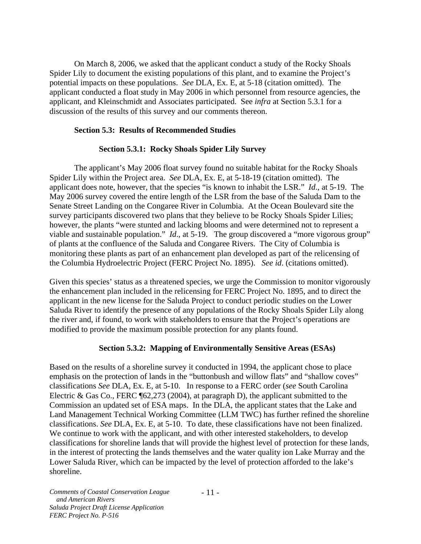On March 8, 2006, we asked that the applicant conduct a study of the Rocky Shoals Spider Lily to document the existing populations of this plant, and to examine the Project's potential impacts on these populations. *See* DLA, Ex. E, at 5-18 (citation omitted). The applicant conducted a float study in May 2006 in which personnel from resource agencies, the applicant, and Kleinschmidt and Associates participated. See *infra* at Section 5.3.1 for a discussion of the results of this survey and our comments thereon.

#### **Section 5.3: Results of Recommended Studies**

#### **Section 5.3.1: Rocky Shoals Spider Lily Survey**

The applicant's May 2006 float survey found no suitable habitat for the Rocky Shoals Spider Lily within the Project area. *See* DLA, Ex. E, at 5-18-19 (citation omitted). The applicant does note, however, that the species "is known to inhabit the LSR." *Id*., at 5-19. The May 2006 survey covered the entire length of the LSR from the base of the Saluda Dam to the Senate Street Landing on the Congaree River in Columbia. At the Ocean Boulevard site the survey participants discovered two plans that they believe to be Rocky Shoals Spider Lilies; however, the plants "were stunted and lacking blooms and were determined not to represent a viable and sustainable population." *Id*., at 5-19. The group discovered a "more vigorous group" of plants at the confluence of the Saluda and Congaree Rivers. The City of Columbia is monitoring these plants as part of an enhancement plan developed as part of the relicensing of the Columbia Hydroelectric Project (FERC Project No. 1895). *See id*. (citations omitted).

Given this species' status as a threatened species, we urge the Commission to monitor vigorously the enhancement plan included in the relicensing for FERC Project No. 1895, and to direct the applicant in the new license for the Saluda Project to conduct periodic studies on the Lower Saluda River to identify the presence of any populations of the Rocky Shoals Spider Lily along the river and, if found, to work with stakeholders to ensure that the Project's operations are modified to provide the maximum possible protection for any plants found.

### **Section 5.3.2: Mapping of Environmentally Sensitive Areas (ESAs)**

Based on the results of a shoreline survey it conducted in 1994, the applicant chose to place emphasis on the protection of lands in the "buttonbush and willow flats" and "shallow coves" classifications *See* DLA, Ex. E, at 5-10. In response to a FERC order (*see* South Carolina Electric & Gas Co., FERC  $\P$ 62,273 (2004), at paragraph D), the applicant submitted to the Commission an updated set of ESA maps. In the DLA, the applicant states that the Lake and Land Management Technical Working Committee (LLM TWC) has further refined the shoreline classifications. *See* DLA, Ex. E, at 5-10. To date, these classifications have not been finalized. We continue to work with the applicant, and with other interested stakeholders, to develop classifications for shoreline lands that will provide the highest level of protection for these lands, in the interest of protecting the lands themselves and the water quality ion Lake Murray and the Lower Saluda River, which can be impacted by the level of protection afforded to the lake's shoreline.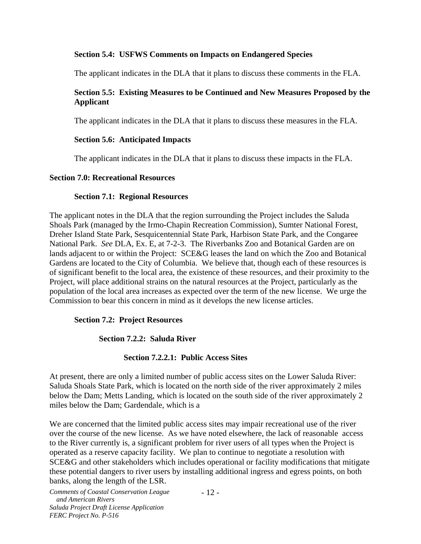### **Section 5.4: USFWS Comments on Impacts on Endangered Species**

The applicant indicates in the DLA that it plans to discuss these comments in the FLA.

### **Section 5.5: Existing Measures to be Continued and New Measures Proposed by the Applicant**

The applicant indicates in the DLA that it plans to discuss these measures in the FLA.

### **Section 5.6: Anticipated Impacts**

The applicant indicates in the DLA that it plans to discuss these impacts in the FLA.

### **Section 7.0: Recreational Resources**

### **Section 7.1: Regional Resources**

The applicant notes in the DLA that the region surrounding the Project includes the Saluda Shoals Park (managed by the Irmo-Chapin Recreation Commission), Sumter National Forest, Dreher Island State Park, Sesquicentennial State Park, Harbison State Park, and the Congaree National Park. *See* DLA, Ex. E, at 7-2-3. The Riverbanks Zoo and Botanical Garden are on lands adjacent to or within the Project: SCE&G leases the land on which the Zoo and Botanical Gardens are located to the City of Columbia. We believe that, though each of these resources is of significant benefit to the local area, the existence of these resources, and their proximity to the Project, will place additional strains on the natural resources at the Project, particularly as the population of the local area increases as expected over the term of the new license. We urge the Commission to bear this concern in mind as it develops the new license articles.

## **Section 7.2: Project Resources**

## **Section 7.2.2: Saluda River**

### **Section 7.2.2.1: Public Access Sites**

At present, there are only a limited number of public access sites on the Lower Saluda River: Saluda Shoals State Park, which is located on the north side of the river approximately 2 miles below the Dam; Metts Landing, which is located on the south side of the river approximately 2 miles below the Dam; Gardendale, which is a

We are concerned that the limited public access sites may impair recreational use of the river over the course of the new license. As we have noted elsewhere, the lack of reasonable access to the River currently is, a significant problem for river users of all types when the Project is operated as a reserve capacity facility. We plan to continue to negotiate a resolution with SCE&G and other stakeholders which includes operational or facility modifications that mitigate these potential dangers to river users by installing additional ingress and egress points, on both banks, along the length of the LSR.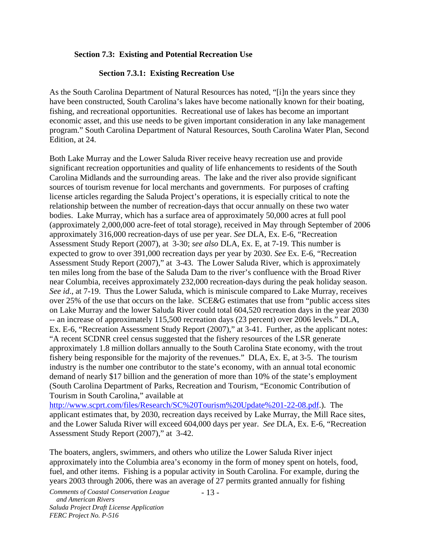### **Section 7.3: Existing and Potential Recreation Use**

### **Section 7.3.1: Existing Recreation Use**

As the South Carolina Department of Natural Resources has noted, "[i]n the years since they have been constructed, South Carolina's lakes have become nationally known for their boating, fishing, and recreational opportunities. Recreational use of lakes has become an important economic asset, and this use needs to be given important consideration in any lake management program." South Carolina Department of Natural Resources, South Carolina Water Plan, Second Edition, at 24.

Both Lake Murray and the Lower Saluda River receive heavy recreation use and provide significant recreation opportunities and quality of life enhancements to residents of the South Carolina Midlands and the surrounding areas. The lake and the river also provide significant sources of tourism revenue for local merchants and governments. For purposes of crafting license articles regarding the Saluda Project's operations, it is especially critical to note the relationship between the number of recreation-days that occur annually on these two water bodies. Lake Murray, which has a surface area of approximately 50,000 acres at full pool (approximately 2,000,000 acre-feet of total storage), received in May through September of 2006 approximately 316,000 recreation-days of use per year. *See* DLA, Ex. E-6, "Recreation Assessment Study Report (2007), at 3-30; *see also* DLA, Ex. E, at 7-19. This number is expected to grow to over 391,000 recreation days per year by 2030. *See* Ex. E-6, "Recreation Assessment Study Report (2007)," at 3-43. The Lower Saluda River, which is approximately ten miles long from the base of the Saluda Dam to the river's confluence with the Broad River near Columbia, receives approximately 232,000 recreation-days during the peak holiday season. *See id*., at 7-19. Thus the Lower Saluda, which is miniscule compared to Lake Murray, receives over 25% of the use that occurs on the lake. SCE&G estimates that use from "public access sites on Lake Murray and the lower Saluda River could total 604,520 recreation days in the year 2030 -- an increase of approximately 115,500 recreation days (23 percent) over 2006 levels." DLA, Ex. E-6, "Recreation Assessment Study Report (2007)," at 3-41. Further, as the applicant notes: "A recent SCDNR creel census suggested that the fishery resources of the LSR generate approximately 1.8 million dollars annually to the South Carolina State economy, with the trout fishery being responsible for the majority of the revenues." DLA, Ex. E, at 3-5. The tourism industry is the number one contributor to the state's economy, with an annual total economic demand of nearly \$17 billion and the generation of more than 10% of the state's employment (South Carolina Department of Parks, Recreation and Tourism, "Economic Contribution of Tourism in South Carolina," available at

[http://www.scprt.com/files/Research/SC%20Tourism%20Update%201-22-08.pdf](http://www.scprt.com/files/Research/SC Tourism Update 1-22-08.pdf).). The applicant estimates that, by 2030, recreation days received by Lake Murray, the Mill Race sites, and the Lower Saluda River will exceed 604,000 days per year. *See* DLA, Ex. E-6, "Recreation Assessment Study Report (2007)," at 3-42.

The boaters, anglers, swimmers, and others who utilize the Lower Saluda River inject approximately into the Columbia area's economy in the form of money spent on hotels, food, fuel, and other items. Fishing is a popular activity in South Carolina. For example, during the years 2003 through 2006, there was an average of 27 permits granted annually for fishing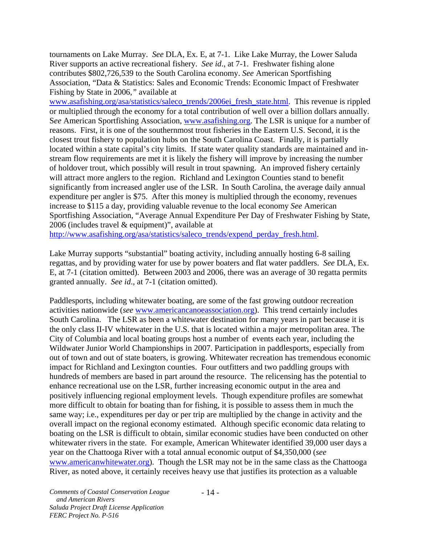tournaments on Lake Murray. *See* DLA, Ex. E, at 7-1. Like Lake Murray, the Lower Saluda River supports an active recreational fishery. *See id*., at 7-1. Freshwater fishing alone contributes \$802,726,539 to the South Carolina economy. *See* American Sportfishing Association, "Data & Statistics: Sales and Economic Trends: Economic Impact of Freshwater Fishing by State in 2006,*"* available at

[www.asafishing.org/asa/statistics/saleco\\_trends/2006ei\\_fresh\\_state.html.](http://www.asafishing.org/asa/statistics/saleco_trends/2006ei_fresh_state.html) This revenue is rippled or multiplied through the economy for a total contribution of well over a billion dollars annually. S*ee* American Sportfishing Association, [www.asafishing.org](http://www.asafishing.org/). The LSR is unique for a number of reasons. First, it is one of the southernmost trout fisheries in the Eastern U.S. Second, it is the closest trout fishery to population hubs on the South Carolina Coast. Finally, it is partially located within a state capital's city limits. If state water quality standards are maintained and instream flow requirements are met it is likely the fishery will improve by increasing the number of holdover trout, which possibly will result in trout spawning. An improved fishery certainly will attract more anglers to the region. Richland and Lexington Counties stand to benefit significantly from increased angler use of the LSR. In South Carolina, the average daily annual expenditure per angler is \$75. After this money is multiplied through the economy, revenues increase to \$115 a day, providing valuable revenue to the local economy *See* American Sportfishing Association, "Average Annual Expenditure Per Day of Freshwater Fishing by State, 2006 (includes travel & equipment)", available at [http://www.asafishing.org/asa/statistics/saleco\\_trends/expend\\_perday\\_fresh.html.](http://www.asafishing.org/asa/statistics/saleco_trends/expend_perday_fresh.html)

Lake Murray supports "substantial" boating activity, including annually hosting 6-8 sailing regattas, and by providing water for use by power boaters and flat water paddlers. *See* DLA, Ex. E, at 7-1 (citation omitted). Between 2003 and 2006, there was an average of 30 regatta permits granted annually. *See id*., at 7-1 (citation omitted).

Paddlesports, including whitewater boating, are some of the fast growing outdoor recreation activities nationwide (*see* [www.americancanoeassociation.org](http://www.americancanoeassociation.org/)). This trend certainly includes South Carolina. The LSR as been a whitewater destination for many years in part because it is the only class II-IV whitewater in the U.S. that is located within a major metropolitan area. The City of Columbia and local boating groups host a number of events each year, including the Wildwater Junior World Championships in 2007. Participation in paddlesports, especially from out of town and out of state boaters, is growing. Whitewater recreation has tremendous economic impact for Richland and Lexington counties. Four outfitters and two paddling groups with hundreds of members are based in part around the resource. The relicensing has the potential to enhance recreational use on the LSR, further increasing economic output in the area and positively influencing regional employment levels. Though expenditure profiles are somewhat more difficult to obtain for boating than for fishing, it is possible to assess them in much the same way; i.e., expenditures per day or per trip are multiplied by the change in activity and the overall impact on the regional economy estimated. Although specific economic data relating to boating on the LSR is difficult to obtain, similar economic studies have been conducted on other whitewater rivers in the state. For example, American Whitewater identified 39,000 user days a year on the Chattooga River with a total annual economic output of \$4,350,000 (*see*  [www.americanwhitewater.org](http://www.americanwhitewater.org/)). Though the LSR may not be in the same class as the Chattooga River, as noted above, it certainly receives heavy use that justifies its protection as a valuable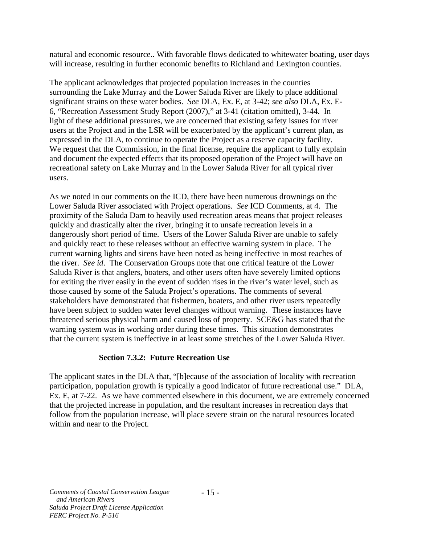natural and economic resource.. With favorable flows dedicated to whitewater boating, user days will increase, resulting in further economic benefits to Richland and Lexington counties.

The applicant acknowledges that projected population increases in the counties surrounding the Lake Murray and the Lower Saluda River are likely to place additional significant strains on these water bodies. *See* DLA, Ex. E, at 3-42; *see also* DLA, Ex. E-6, "Recreation Assessment Study Report (2007)," at 3-41 (citation omitted), 3-44. In light of these additional pressures, we are concerned that existing safety issues for river users at the Project and in the LSR will be exacerbated by the applicant's current plan, as expressed in the DLA, to continue to operate the Project as a reserve capacity facility. We request that the Commission, in the final license, require the applicant to fully explain and document the expected effects that its proposed operation of the Project will have on recreational safety on Lake Murray and in the Lower Saluda River for all typical river users.

As we noted in our comments on the ICD, there have been numerous drownings on the Lower Saluda River associated with Project operations. *See* ICD Comments, at 4. The proximity of the Saluda Dam to heavily used recreation areas means that project releases quickly and drastically alter the river, bringing it to unsafe recreation levels in a dangerously short period of time. Users of the Lower Saluda River are unable to safely and quickly react to these releases without an effective warning system in place. The current warning lights and sirens have been noted as being ineffective in most reaches of the river. *See id*. The Conservation Groups note that one critical feature of the Lower Saluda River is that anglers, boaters, and other users often have severely limited options for exiting the river easily in the event of sudden rises in the river's water level, such as those caused by some of the Saluda Project's operations. The comments of several stakeholders have demonstrated that fishermen, boaters, and other river users repeatedly have been subject to sudden water level changes without warning. These instances have threatened serious physical harm and caused loss of property. SCE&G has stated that the warning system was in working order during these times. This situation demonstrates that the current system is ineffective in at least some stretches of the Lower Saluda River.

# **Section 7.3.2: Future Recreation Use**

The applicant states in the DLA that, "[b]ecause of the association of locality with recreation participation, population growth is typically a good indicator of future recreational use." DLA, Ex. E, at 7-22. As we have commented elsewhere in this document, we are extremely concerned that the projected increase in population, and the resultant increases in recreation days that follow from the population increase, will place severe strain on the natural resources located within and near to the Project.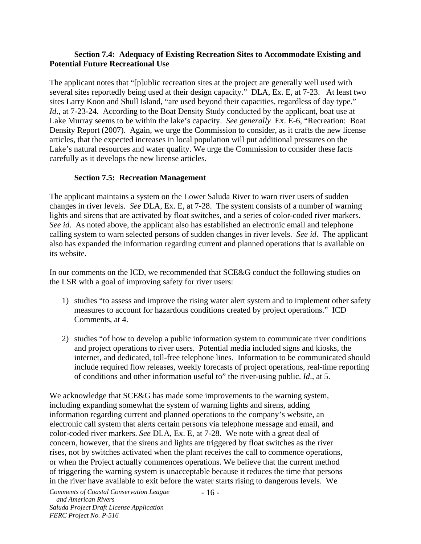#### **Section 7.4: Adequacy of Existing Recreation Sites to Accommodate Existing and Potential Future Recreational Use**

The applicant notes that "[p]ublic recreation sites at the project are generally well used with several sites reportedly being used at their design capacity." DLA, Ex. E, at 7-23. At least two sites Larry Koon and Shull Island, "are used beyond their capacities, regardless of day type." *Id.*, at 7-23-24. According to the Boat Density Study conducted by the applicant, boat use at Lake Murray seems to be within the lake's capacity. *See generally* Ex. E-6, "Recreation: Boat Density Report (2007). Again, we urge the Commission to consider, as it crafts the new license articles, that the expected increases in local population will put additional pressures on the Lake's natural resources and water quality. We urge the Commission to consider these facts carefully as it develops the new license articles.

### **Section 7.5: Recreation Management**

The applicant maintains a system on the Lower Saluda River to warn river users of sudden changes in river levels. *See* DLA, Ex. E, at 7-28. The system consists of a number of warning lights and sirens that are activated by float switches, and a series of color-coded river markers. *See id*. As noted above, the applicant also has established an electronic email and telephone calling system to warn selected persons of sudden changes in river levels. *See id*. The applicant also has expanded the information regarding current and planned operations that is available on its website.

In our comments on the ICD, we recommended that SCE&G conduct the following studies on the LSR with a goal of improving safety for river users:

- 1) studies "to assess and improve the rising water alert system and to implement other safety measures to account for hazardous conditions created by project operations." ICD Comments, at 4.
- 2) studies "of how to develop a public information system to communicate river conditions and project operations to river users. Potential media included signs and kiosks, the internet, and dedicated, toll-free telephone lines. Information to be communicated should include required flow releases, weekly forecasts of project operations, real-time reporting of conditions and other information useful to" the river-using public. *Id*., at 5.

We acknowledge that SCE&G has made some improvements to the warning system, including expanding somewhat the system of warning lights and sirens, adding information regarding current and planned operations to the company's website, an electronic call system that alerts certain persons via telephone message and email, and color-coded river markers. *See* DLA, Ex. E, at 7-28. We note with a great deal of concern, however, that the sirens and lights are triggered by float switches as the river rises, not by switches activated when the plant receives the call to commence operations, or when the Project actually commences operations. We believe that the current method of triggering the warning system is unacceptable because it reduces the time that persons in the river have available to exit before the water starts rising to dangerous levels. We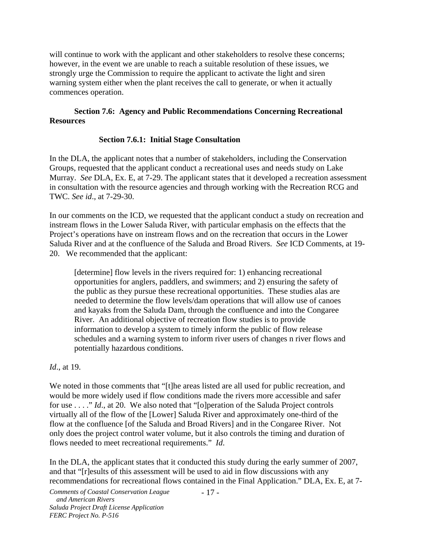will continue to work with the applicant and other stakeholders to resolve these concerns; however, in the event we are unable to reach a suitable resolution of these issues, we strongly urge the Commission to require the applicant to activate the light and siren warning system either when the plant receives the call to generate, or when it actually commences operation.

### **Section 7.6: Agency and Public Recommendations Concerning Recreational Resources**

## **Section 7.6.1: Initial Stage Consultation**

In the DLA, the applicant notes that a number of stakeholders, including the Conservation Groups, requested that the applicant conduct a recreational uses and needs study on Lake Murray. *See* DLA, Ex. E, at 7-29. The applicant states that it developed a recreation assessment in consultation with the resource agencies and through working with the Recreation RCG and TWC. *See id*., at 7-29-30.

In our comments on the ICD, we requested that the applicant conduct a study on recreation and instream flows in the Lower Saluda River, with particular emphasis on the effects that the Project's operations have on instream flows and on the recreation that occurs in the Lower Saluda River and at the confluence of the Saluda and Broad Rivers. *See* ICD Comments, at 19- 20. We recommended that the applicant:

[determine] flow levels in the rivers required for: 1) enhancing recreational opportunities for anglers, paddlers, and swimmers; and 2) ensuring the safety of the public as they pursue these recreational opportunities. These studies alas are needed to determine the flow levels/dam operations that will allow use of canoes and kayaks from the Saluda Dam, through the confluence and into the Congaree River. An additional objective of recreation flow studies is to provide information to develop a system to timely inform the public of flow release schedules and a warning system to inform river users of changes n river flows and potentially hazardous conditions.

### *Id*., at 19.

We noted in those comments that "[t]he areas listed are all used for public recreation, and would be more widely used if flow conditions made the rivers more accessible and safer for use . . . ." *Id*., at 20. We also noted that "[o]peration of the Saluda Project controls virtually all of the flow of the [Lower] Saluda River and approximately one-third of the flow at the confluence [of the Saluda and Broad Rivers] and in the Congaree River. Not only does the project control water volume, but it also controls the timing and duration of flows needed to meet recreational requirements." *Id*.

In the DLA, the applicant states that it conducted this study during the early summer of 2007, and that "[r]esults of this assessment will be used to aid in flow discussions with any recommendations for recreational flows contained in the Final Application." DLA, Ex. E, at 7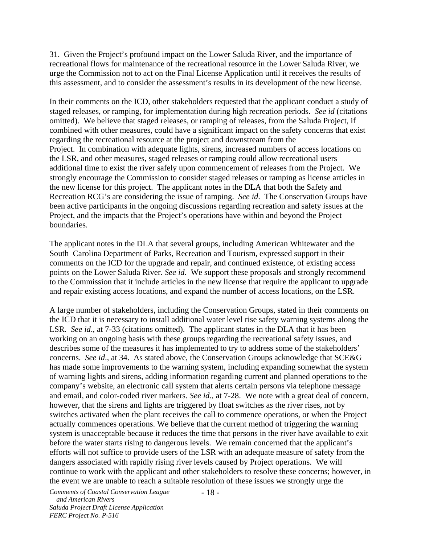31. Given the Project's profound impact on the Lower Saluda River, and the importance of recreational flows for maintenance of the recreational resource in the Lower Saluda River, we urge the Commission not to act on the Final License Application until it receives the results of this assessment, and to consider the assessment's results in its development of the new license.

In their comments on the ICD, other stakeholders requested that the applicant conduct a study of staged releases, or ramping, for implementation during high recreation periods. *See id* (citations omitted). We believe that staged releases, or ramping of releases, from the Saluda Project, if combined with other measures, could have a significant impact on the safety concerns that exist regarding the recreational resource at the project and downstream from the Project. In combination with adequate lights, sirens, increased numbers of access locations on the LSR, and other measures, staged releases or ramping could allow recreational users additional time to exist the river safely upon commencement of releases from the Project. We strongly encourage the Commission to consider staged releases or ramping as license articles in the new license for this project. The applicant notes in the DLA that both the Safety and Recreation RCG's are considering the issue of ramping. *See id*. The Conservation Groups have been active participants in the ongoing discussions regarding recreation and safety issues at the Project, and the impacts that the Project's operations have within and beyond the Project boundaries.

The applicant notes in the DLA that several groups, including American Whitewater and the South Carolina Department of Parks, Recreation and Tourism, expressed support in their comments on the ICD for the upgrade and repair, and continued existence, of existing access points on the Lower Saluda River. *See id*. We support these proposals and strongly recommend to the Commission that it include articles in the new license that require the applicant to upgrade and repair existing access locations, and expand the number of access locations, on the LSR.

A large number of stakeholders, including the Conservation Groups, stated in their comments on the ICD that it is necessary to install additional water level rise safety warning systems along the LSR. *See id*., at 7-33 (citations omitted). The applicant states in the DLA that it has been working on an ongoing basis with these groups regarding the recreational safety issues, and describes some of the measures it has implemented to try to address some of the stakeholders' concerns. *See id*., at 34. As stated above, the Conservation Groups acknowledge that SCE&G has made some improvements to the warning system, including expanding somewhat the system of warning lights and sirens, adding information regarding current and planned operations to the company's website, an electronic call system that alerts certain persons via telephone message and email, and color-coded river markers. *See id*., at 7-28. We note with a great deal of concern, however, that the sirens and lights are triggered by float switches as the river rises, not by switches activated when the plant receives the call to commence operations, or when the Project actually commences operations. We believe that the current method of triggering the warning system is unacceptable because it reduces the time that persons in the river have available to exit before the water starts rising to dangerous levels. We remain concerned that the applicant's efforts will not suffice to provide users of the LSR with an adequate measure of safety from the dangers associated with rapidly rising river levels caused by Project operations. We will continue to work with the applicant and other stakeholders to resolve these concerns; however, in the event we are unable to reach a suitable resolution of these issues we strongly urge the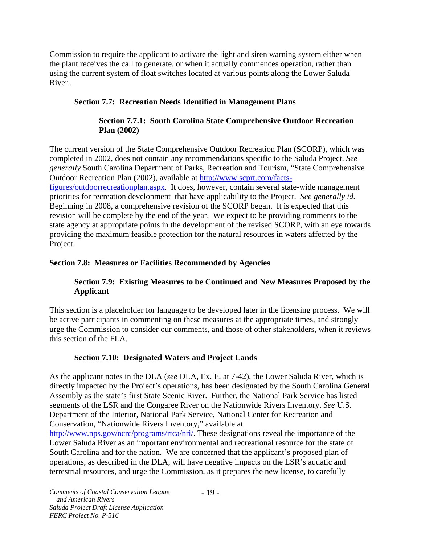Commission to require the applicant to activate the light and siren warning system either when the plant receives the call to generate, or when it actually commences operation, rather than using the current system of float switches located at various points along the Lower Saluda River..

## **Section 7.7: Recreation Needs Identified in Management Plans**

## **Section 7.7.1: South Carolina State Comprehensive Outdoor Recreation Plan (2002)**

The current version of the State Comprehensive Outdoor Recreation Plan (SCORP), which was completed in 2002, does not contain any recommendations specific to the Saluda Project. *See generally* South Carolina Department of Parks, Recreation and Tourism, "State Comprehensive Outdoor Recreation Plan (2002), available at [http://www.scprt.com/facts-](http://www.scprt.com/facts-figures/outdoorrecreationplan.aspx)

[figures/outdoorrecreationplan.aspx.](http://www.scprt.com/facts-figures/outdoorrecreationplan.aspx) It does, however, contain several state-wide management priorities for recreation development that have applicability to the Project. *See generally id.* Beginning in 2008, a comprehensive revision of the SCORP began. It is expected that this revision will be complete by the end of the year. We expect to be providing comments to the state agency at appropriate points in the development of the revised SCORP, with an eye towards providing the maximum feasible protection for the natural resources in waters affected by the Project.

## **Section 7.8: Measures or Facilities Recommended by Agencies**

### **Section 7.9: Existing Measures to be Continued and New Measures Proposed by the Applicant**

This section is a placeholder for language to be developed later in the licensing process. We will be active participants in commenting on these measures at the appropriate times, and strongly urge the Commission to consider our comments, and those of other stakeholders, when it reviews this section of the FLA.

## **Section 7.10: Designated Waters and Project Lands**

As the applicant notes in the DLA (*see* DLA, Ex. E, at 7-42), the Lower Saluda River, which is directly impacted by the Project's operations, has been designated by the South Carolina General Assembly as the state's first State Scenic River. Further, the National Park Service has listed segments of the LSR and the Congaree River on the Nationwide Rivers Inventory. *See* U.S. Department of the Interior, National Park Service, National Center for Recreation and Conservation, "Nationwide Rivers Inventory," available at

<http://www.nps.gov/ncrc/programs/rtca/nri/>. These designations reveal the importance of the Lower Saluda River as an important environmental and recreational resource for the state of South Carolina and for the nation. We are concerned that the applicant's proposed plan of operations, as described in the DLA, will have negative impacts on the LSR's aquatic and terrestrial resources, and urge the Commission, as it prepares the new license, to carefully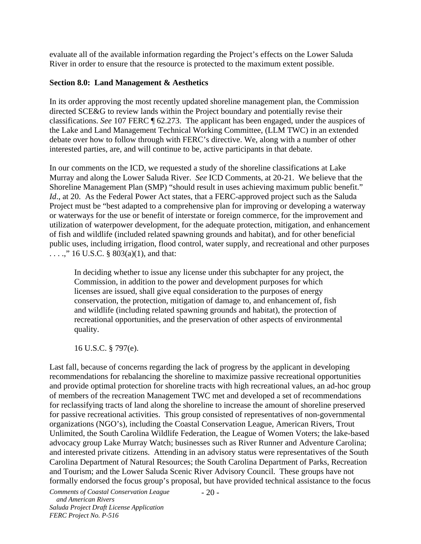evaluate all of the available information regarding the Project's effects on the Lower Saluda River in order to ensure that the resource is protected to the maximum extent possible.

### **Section 8.0: Land Management & Aesthetics**

In its order approving the most recently updated shoreline management plan, the Commission directed SCE&G to review lands within the Project boundary and potentially revise their classifications. *See* 107 FERC ¶ 62.273. The applicant has been engaged, under the auspices of the Lake and Land Management Technical Working Committee, (LLM TWC) in an extended debate over how to follow through with FERC's directive. We, along with a number of other interested parties, are, and will continue to be, active participants in that debate.

In our comments on the ICD, we requested a study of the shoreline classifications at Lake Murray and along the Lower Saluda River. *See* ICD Comments, at 20-21. We believe that the Shoreline Management Plan (SMP) "should result in uses achieving maximum public benefit." *Id.*, at 20. As the Federal Power Act states, that a FERC-approved project such as the Saluda Project must be "best adapted to a comprehensive plan for improving or developing a waterway or waterways for the use or benefit of interstate or foreign commerce, for the improvement and utilization of waterpower development, for the adequate protection, mitigation, and enhancement of fish and wildlife (included related spawning grounds and habitat), and for other beneficial public uses, including irrigation, flood control, water supply, and recreational and other purposes . . . .," 16 U.S.C. § 803(a)(1), and that:

In deciding whether to issue any license under this subchapter for any project, the Commission, in addition to the power and development purposes for which licenses are issued, shall give equal consideration to the purposes of energy conservation, the protection, mitigation of damage to, and enhancement of, fish and wildlife (including related spawning grounds and habitat), the protection of recreational opportunities, and the preservation of other aspects of environmental quality.

16 U.S.C. § 797(e).

Last fall, because of concerns regarding the lack of progress by the applicant in developing recommendations for rebalancing the shoreline to maximize passive recreational opportunities and provide optimal protection for shoreline tracts with high recreational values, an ad-hoc group of members of the recreation Management TWC met and developed a set of recommendations for reclassifying tracts of land along the shoreline to increase the amount of shoreline preserved for passive recreational activities. This group consisted of representatives of non-governmental organizations (NGO's), including the Coastal Conservation League, American Rivers, Trout Unlimited, the South Carolina Wildlife Federation, the League of Women Voters; the lake-based advocacy group Lake Murray Watch; businesses such as River Runner and Adventure Carolina; and interested private citizens. Attending in an advisory status were representatives of the South Carolina Department of Natural Resources; the South Carolina Department of Parks, Recreation and Tourism; and the Lower Saluda Scenic River Advisory Council. These groups have not formally endorsed the focus group's proposal, but have provided technical assistance to the focus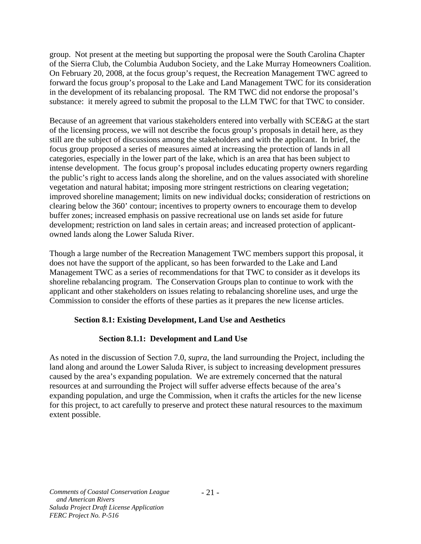group. Not present at the meeting but supporting the proposal were the South Carolina Chapter of the Sierra Club, the Columbia Audubon Society, and the Lake Murray Homeowners Coalition. On February 20, 2008, at the focus group's request, the Recreation Management TWC agreed to forward the focus group's proposal to the Lake and Land Management TWC for its consideration in the development of its rebalancing proposal. The RM TWC did not endorse the proposal's substance: it merely agreed to submit the proposal to the LLM TWC for that TWC to consider.

Because of an agreement that various stakeholders entered into verbally with SCE&G at the start of the licensing process, we will not describe the focus group's proposals in detail here, as they still are the subject of discussions among the stakeholders and with the applicant. In brief, the focus group proposed a series of measures aimed at increasing the protection of lands in all categories, especially in the lower part of the lake, which is an area that has been subject to intense development. The focus group's proposal includes educating property owners regarding the public's right to access lands along the shoreline, and on the values associated with shoreline vegetation and natural habitat; imposing more stringent restrictions on clearing vegetation; improved shoreline management; limits on new individual docks; consideration of restrictions on clearing below the 360' contour; incentives to property owners to encourage them to develop buffer zones; increased emphasis on passive recreational use on lands set aside for future development; restriction on land sales in certain areas; and increased protection of applicantowned lands along the Lower Saluda River.

Though a large number of the Recreation Management TWC members support this proposal, it does not have the support of the applicant, so has been forwarded to the Lake and Land Management TWC as a series of recommendations for that TWC to consider as it develops its shoreline rebalancing program. The Conservation Groups plan to continue to work with the applicant and other stakeholders on issues relating to rebalancing shoreline uses, and urge the Commission to consider the efforts of these parties as it prepares the new license articles.

# **Section 8.1: Existing Development, Land Use and Aesthetics**

# **Section 8.1.1: Development and Land Use**

As noted in the discussion of Section 7.0, *supra*, the land surrounding the Project, including the land along and around the Lower Saluda River, is subject to increasing development pressures caused by the area's expanding population. We are extremely concerned that the natural resources at and surrounding the Project will suffer adverse effects because of the area's expanding population, and urge the Commission, when it crafts the articles for the new license for this project, to act carefully to preserve and protect these natural resources to the maximum extent possible.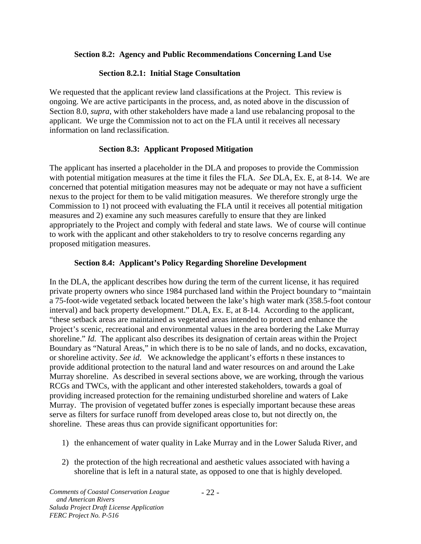### **Section 8.2: Agency and Public Recommendations Concerning Land Use**

## **Section 8.2.1: Initial Stage Consultation**

We requested that the applicant review land classifications at the Project. This review is ongoing. We are active participants in the process, and, as noted above in the discussion of Section 8.0, *supra*, with other stakeholders have made a land use rebalancing proposal to the applicant. We urge the Commission not to act on the FLA until it receives all necessary information on land reclassification.

## **Section 8.3: Applicant Proposed Mitigation**

The applicant has inserted a placeholder in the DLA and proposes to provide the Commission with potential mitigation measures at the time it files the FLA. *See* DLA, Ex. E, at 8-14. We are concerned that potential mitigation measures may not be adequate or may not have a sufficient nexus to the project for them to be valid mitigation measures. We therefore strongly urge the Commission to 1) not proceed with evaluating the FLA until it receives all potential mitigation measures and 2) examine any such measures carefully to ensure that they are linked appropriately to the Project and comply with federal and state laws. We of course will continue to work with the applicant and other stakeholders to try to resolve concerns regarding any proposed mitigation measures.

### **Section 8.4: Applicant's Policy Regarding Shoreline Development**

In the DLA, the applicant describes how during the term of the current license, it has required private property owners who since 1984 purchased land within the Project boundary to "maintain a 75-foot-wide vegetated setback located between the lake's high water mark (358.5-foot contour interval) and back property development." DLA, Ex. E, at 8-14. According to the applicant, "these setback areas are maintained as vegetated areas intended to protect and enhance the Project's scenic, recreational and environmental values in the area bordering the Lake Murray shoreline." *Id.* The applicant also describes its designation of certain areas within the Project Boundary as "Natural Areas," in which there is to be no sale of lands, and no docks, excavation, or shoreline activity. *See id*. We acknowledge the applicant's efforts n these instances to provide additional protection to the natural land and water resources on and around the Lake Murray shoreline. As described in several sections above, we are working, through the various RCGs and TWCs, with the applicant and other interested stakeholders, towards a goal of providing increased protection for the remaining undisturbed shoreline and waters of Lake Murray. The provision of vegetated buffer zones is especially important because these areas serve as filters for surface runoff from developed areas close to, but not directly on, the shoreline. These areas thus can provide significant opportunities for:

- 1) the enhancement of water quality in Lake Murray and in the Lower Saluda River, and
- 2) the protection of the high recreational and aesthetic values associated with having a shoreline that is left in a natural state, as opposed to one that is highly developed.